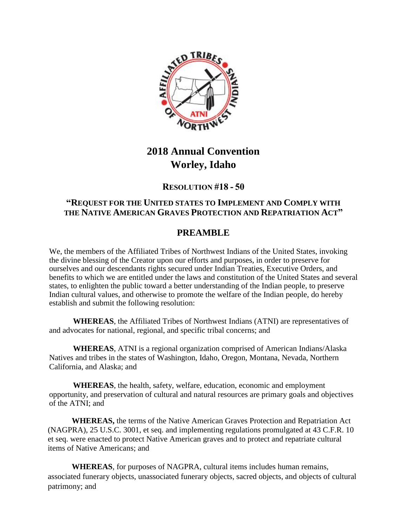

# **2018 Annual Convention Worley, Idaho**

### **RESOLUTION #18 - 50**

#### **"REQUEST FOR THE UNITED STATES TO IMPLEMENT AND COMPLY WITH THE NATIVE AMERICAN GRAVES PROTECTION AND REPATRIATION ACT"**

## **PREAMBLE**

We, the members of the Affiliated Tribes of Northwest Indians of the United States, invoking the divine blessing of the Creator upon our efforts and purposes, in order to preserve for ourselves and our descendants rights secured under Indian Treaties, Executive Orders, and benefits to which we are entitled under the laws and constitution of the United States and several states, to enlighten the public toward a better understanding of the Indian people, to preserve Indian cultural values, and otherwise to promote the welfare of the Indian people, do hereby establish and submit the following resolution:

**WHEREAS**, the Affiliated Tribes of Northwest Indians (ATNI) are representatives of and advocates for national, regional, and specific tribal concerns; and

**WHEREAS**, ATNI is a regional organization comprised of American Indians/Alaska Natives and tribes in the states of Washington, Idaho, Oregon, Montana, Nevada, Northern California, and Alaska; and

**WHEREAS**, the health, safety, welfare, education, economic and employment opportunity, and preservation of cultural and natural resources are primary goals and objectives of the ATNI; and

**WHEREAS,** the terms of the Native American Graves Protection and Repatriation Act (NAGPRA), 25 U.S.C. 3001, et seq. and implementing regulations promulgated at 43 C.F.R. 10 et seq. were enacted to protect Native American graves and to protect and repatriate cultural items of Native Americans; and

**WHEREAS**, for purposes of NAGPRA, cultural items includes human remains, associated funerary objects, unassociated funerary objects, sacred objects, and objects of cultural patrimony; and